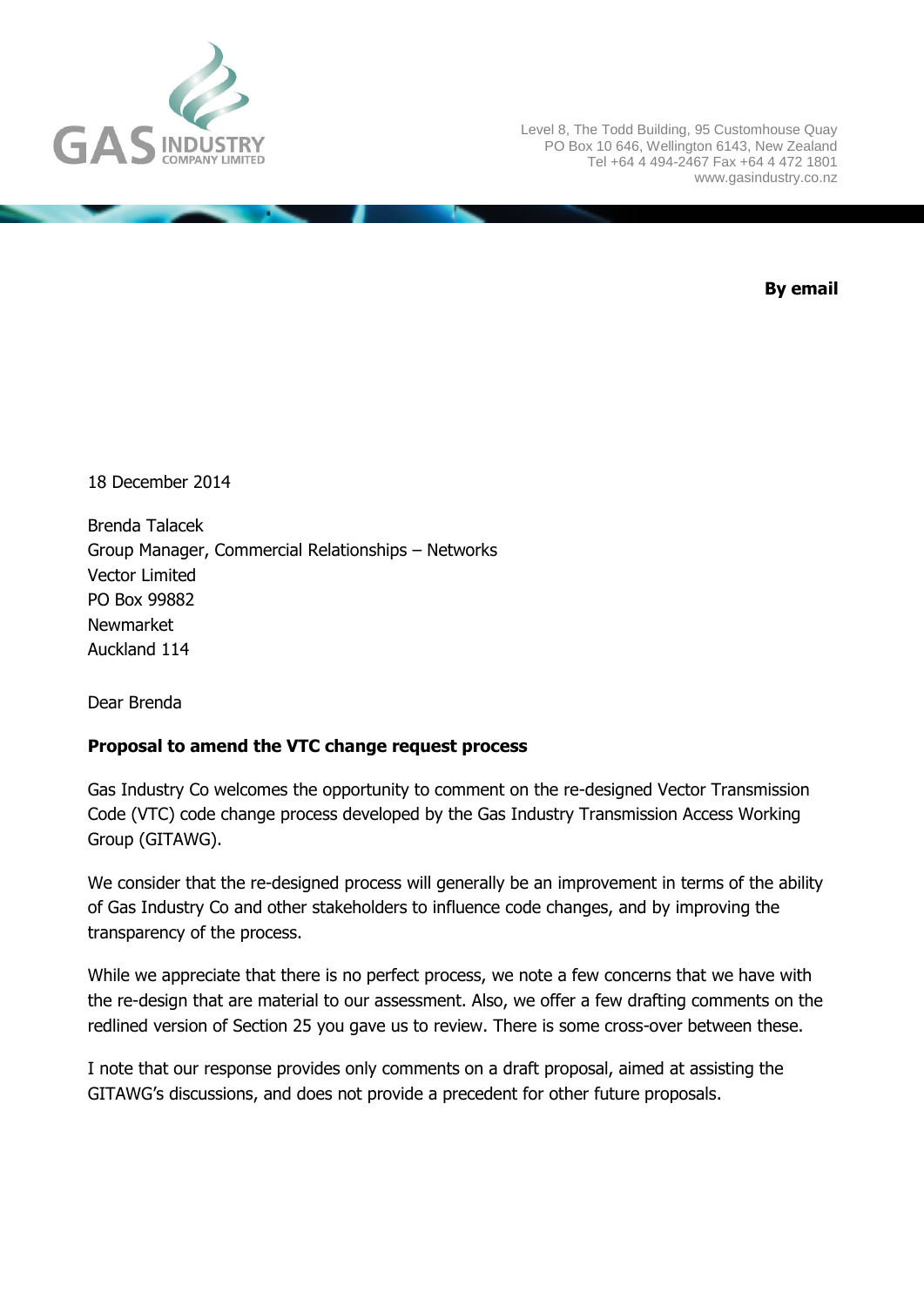

Level 8, The Todd Building, 95 Customhouse Quay PO Box 10 646, Wellington 6143, New Zealand Tel +64 4 494-2467 Fax +64 4 472 1801 www.gasindustry.co.nz

**By email**

18 December 2014

Brenda Talacek Group Manager, Commercial Relationships – Networks Vector Limited PO Box 99882 Newmarket Auckland 114

Dear Brenda

## **Proposal to amend the VTC change request process**

Gas Industry Co welcomes the opportunity to comment on the re-designed Vector Transmission Code (VTC) code change process developed by the Gas Industry Transmission Access Working Group (GITAWG).

We consider that the re-designed process will generally be an improvement in terms of the ability of Gas Industry Co and other stakeholders to influence code changes, and by improving the transparency of the process.

While we appreciate that there is no perfect process, we note a few concerns that we have with the re-design that are material to our assessment. Also, we offer a few drafting comments on the redlined version of Section 25 you gave us to review. There is some cross-over between these.

I note that our response provides only comments on a draft proposal, aimed at assisting the GITAWG's discussions, and does not provide a precedent for other future proposals.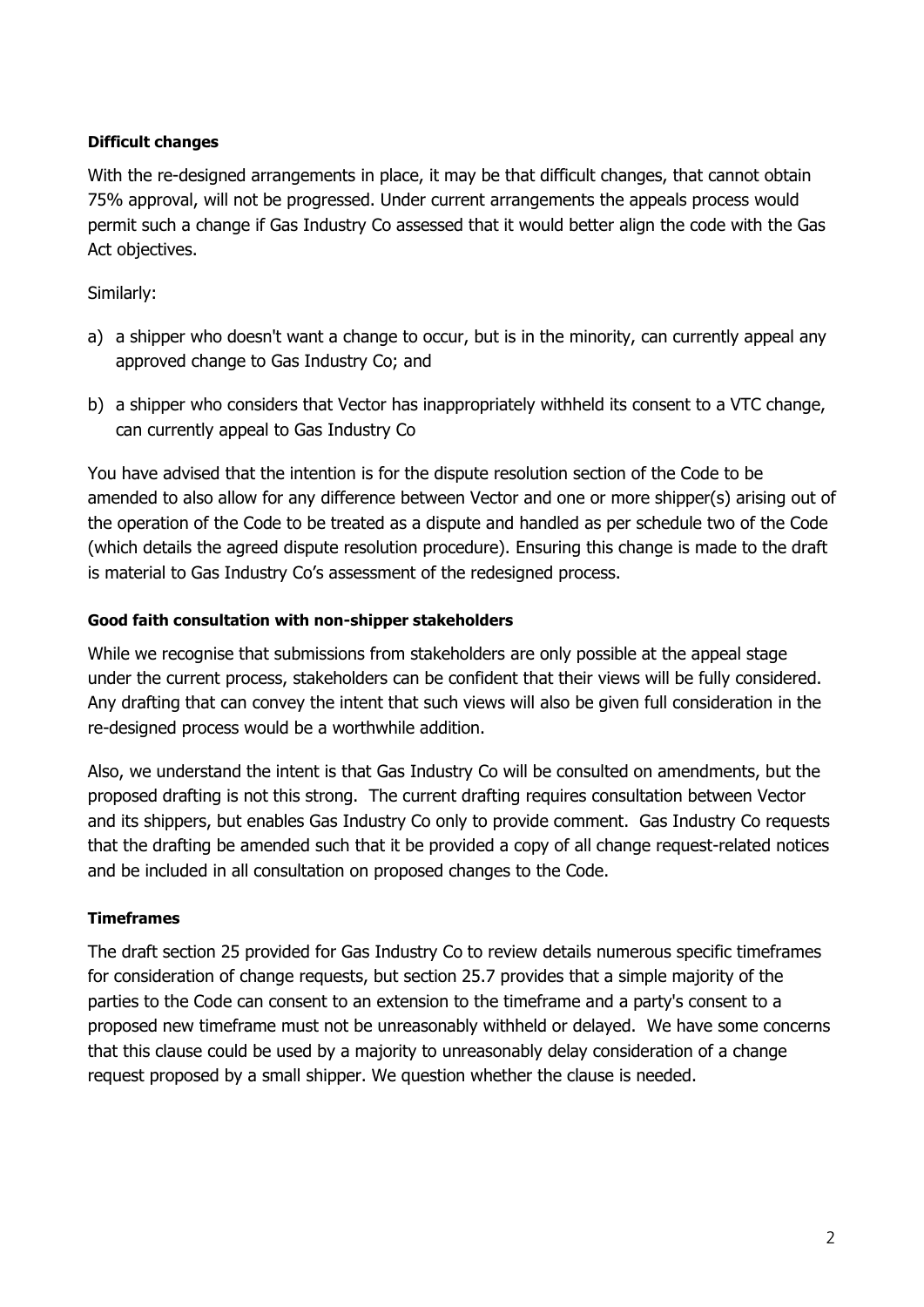## **Difficult changes**

With the re-designed arrangements in place, it may be that difficult changes, that cannot obtain 75% approval, will not be progressed. Under current arrangements the appeals process would permit such a change if Gas Industry Co assessed that it would better align the code with the Gas Act objectives.

## Similarly:

- a) a shipper who doesn't want a change to occur, but is in the minority, can currently appeal any approved change to Gas Industry Co; and
- b) a shipper who considers that Vector has inappropriately withheld its consent to a VTC change, can currently appeal to Gas Industry Co

You have advised that the intention is for the dispute resolution section of the Code to be amended to also allow for any difference between Vector and one or more shipper(s) arising out of the operation of the Code to be treated as a dispute and handled as per schedule two of the Code (which details the agreed dispute resolution procedure). Ensuring this change is made to the draft is material to Gas Industry Co's assessment of the redesigned process.

### **Good faith consultation with non-shipper stakeholders**

While we recognise that submissions from stakeholders are only possible at the appeal stage under the current process, stakeholders can be confident that their views will be fully considered. Any drafting that can convey the intent that such views will also be given full consideration in the re-designed process would be a worthwhile addition.

Also, we understand the intent is that Gas Industry Co will be consulted on amendments, but the proposed drafting is not this strong. The current drafting requires consultation between Vector and its shippers, but enables Gas Industry Co only to provide comment. Gas Industry Co requests that the drafting be amended such that it be provided a copy of all change request-related notices and be included in all consultation on proposed changes to the Code.

## **Timeframes**

The draft section 25 provided for Gas Industry Co to review details numerous specific timeframes for consideration of change requests, but section 25.7 provides that a simple majority of the parties to the Code can consent to an extension to the timeframe and a party's consent to a proposed new timeframe must not be unreasonably withheld or delayed. We have some concerns that this clause could be used by a majority to unreasonably delay consideration of a change request proposed by a small shipper. We question whether the clause is needed.